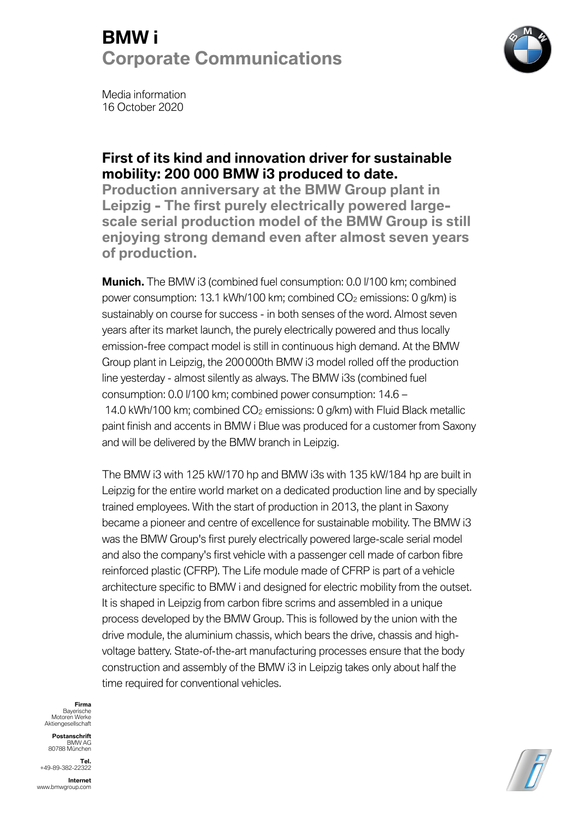

Media information 16 October 2020

### **First of its kind and innovation driver for sustainable mobility: 200 000 BMW i3 produced to date.**

**Production anniversary at the BMW Group plant in Leipzig - The first purely electrically powered largescale serial production model of the BMW Group is still enjoying strong demand even after almost seven years of production.** 

**Munich.** The BMW i3 (combined fuel consumption: 0.0 l/100 km; combined power consumption: 13.1 kWh/100 km; combined CO2 emissions: 0 g/km) is sustainably on course for success - in both senses of the word. Almost seven years after its market launch, the purely electrically powered and thus locally emission-free compact model is still in continuous high demand. At the BMW Group plant in Leipzig, the 200000th BMW i3 model rolled off the production line yesterday - almost silently as always. The BMW i3s (combined fuel consumption: 0.0 l/100 km; combined power consumption: 14.6 – 14.0 kWh/100 km; combined  $CO<sub>2</sub>$  emissions: 0 g/km) with Fluid Black metallic paint finish and accents in BMW i Blue was produced for a customer from Saxony and will be delivered by the BMW branch in Leipzig.

The BMW i3 with 125 kW/170 hp and BMW i3s with 135 kW/184 hp are built in Leipzig for the entire world market on a dedicated production line and by specially trained employees. With the start of production in 2013, the plant in Saxony became a pioneer and centre of excellence for sustainable mobility. The BMW i3 was the BMW Group's first purely electrically powered large-scale serial model and also the company's first vehicle with a passenger cell made of carbon fibre reinforced plastic (CFRP). The Life module made of CFRP is part of a vehicle architecture specific to BMW i and designed for electric mobility from the outset. It is shaped in Leipzig from carbon fibre scrims and assembled in a unique process developed by the BMW Group. This is followed by the union with the drive module, the aluminium chassis, which bears the drive, chassis and highvoltage battery. State-of-the-art manufacturing processes ensure that the body construction and assembly of the BMW i3 in Leipzig takes only about half the time required for conventional vehicles.

**Firma** Bayerische Motoren Werke Aktiengesellschaft

**Postanschrift** BMW AG 80788 München

**Tel.** +49-89-382-22322

**Internet** www.bmwgroup.com

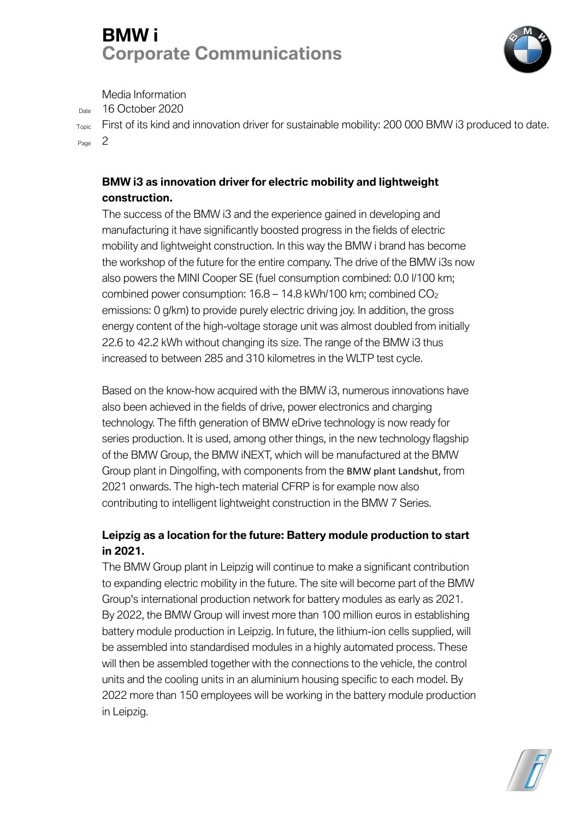

Media Information

Date 16 October 2020

Topic First of its kind and innovation driver for sustainable mobility: 200 000 BMW i3 produced to date. Page 2

#### **BMW i3 as innovation driver for electric mobility and lightweight construction.**

The success of the BMW i3 and the experience gained in developing and manufacturing it have significantly boosted progress in the fields of electric mobility and lightweight construction. In this way the BMW i brand has become the workshop of the future for the entire company. The drive of the BMW i3s now also powers the MINI Cooper SE (fuel consumption combined: 0.0 l/100 km; combined power consumption: 16.8 – 14.8 kWh/100 km; combined CO2 emissions: 0 g/km) to provide purely electric driving joy. In addition, the gross energy content of the high-voltage storage unit was almost doubled from initially 22.6 to 42.2 kWh without changing its size. The range of the BMW i3 thus increased to between 285 and 310 kilometres in the WLTP test cycle.

Based on the know-how acquired with the BMW i3, numerous innovations have also been achieved in the fields of drive, power electronics and charging technology. The fifth generation of BMW eDrive technology is now ready for series production. It is used, among other things, in the new technology flagship of the BMW Group, the BMW iNEXT, which will be manufactured at the BMW Group plant in Dingolfing, with components from the BMW plant Landshut, from 2021 onwards. The high-tech material CFRP is for example now also contributing to intelligent lightweight construction in the BMW 7 Series.

#### **Leipzig as a location for the future: Battery module production to start in 2021.**

The BMW Group plant in Leipzig will continue to make a significant contribution to expanding electric mobility in the future. The site will become part of the BMW Group's international production network for battery modules as early as 2021. By 2022, the BMW Group will invest more than 100 million euros in establishing battery module production in Leipzig. In future, the lithium-ion cells supplied, will be assembled into standardised modules in a highly automated process. These will then be assembled together with the connections to the vehicle, the control units and the cooling units in an aluminium housing specific to each model. By 2022 more than 150 employees will be working in the battery module production in Leipzig.

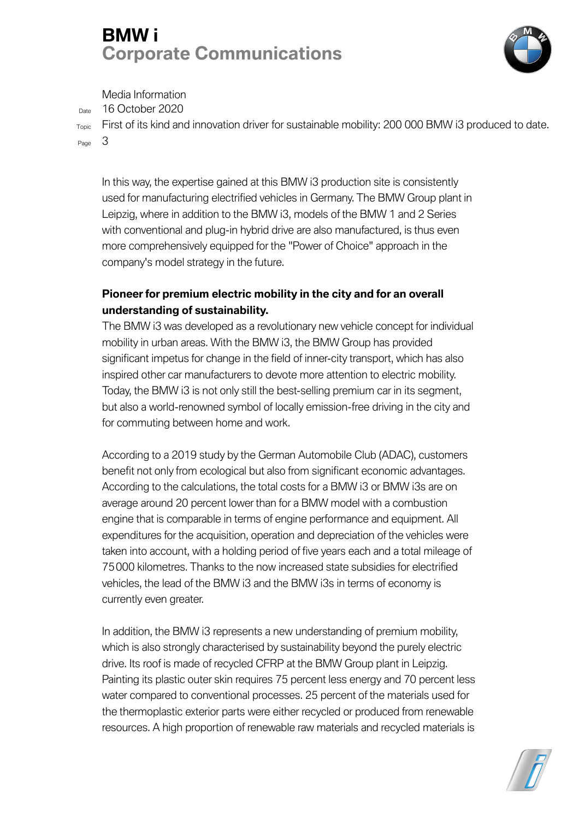

Media Information

 $_{\text{Date}}$  16 October 2020

Topic First of its kind and innovation driver for sustainable mobility: 200 000 BMW i3 produced to date. Page 3

In this way, the expertise gained at this BMW i3 production site is consistently used for manufacturing electrified vehicles in Germany. The BMW Group plant in Leipzig, where in addition to the BMW i3, models of the BMW 1 and 2 Series with conventional and plug-in hybrid drive are also manufactured, is thus even more comprehensively equipped for the "Power of Choice" approach in the company's model strategy in the future.

## **Pioneer for premium electric mobility in the city and for an overall understanding of sustainability.**

The BMW i3 was developed as a revolutionary new vehicle concept for individual mobility in urban areas. With the BMW i3, the BMW Group has provided significant impetus for change in the field of inner-city transport, which has also inspired other car manufacturers to devote more attention to electric mobility. Today, the BMW i3 is not only still the best-selling premium car in its segment, but also a world-renowned symbol of locally emission-free driving in the city and for commuting between home and work.

According to a 2019 study by the German Automobile Club (ADAC), customers benefit not only from ecological but also from significant economic advantages. According to the calculations, the total costs for a BMW i3 or BMW i3s are on average around 20 percent lower than for a BMW model with a combustion engine that is comparable in terms of engine performance and equipment. All expenditures for the acquisition, operation and depreciation of the vehicles were taken into account, with a holding period of five years each and a total mileage of 75000 kilometres. Thanks to the now increased state subsidies for electrified vehicles, the lead of the BMW i3 and the BMW i3s in terms of economy is currently even greater.

In addition, the BMW i3 represents a new understanding of premium mobility, which is also strongly characterised by sustainability beyond the purely electric drive. Its roof is made of recycled CFRP at the BMW Group plant in Leipzig. Painting its plastic outer skin requires 75 percent less energy and 70 percent less water compared to conventional processes. 25 percent of the materials used for the thermoplastic exterior parts were either recycled or produced from renewable resources. A high proportion of renewable raw materials and recycled materials is

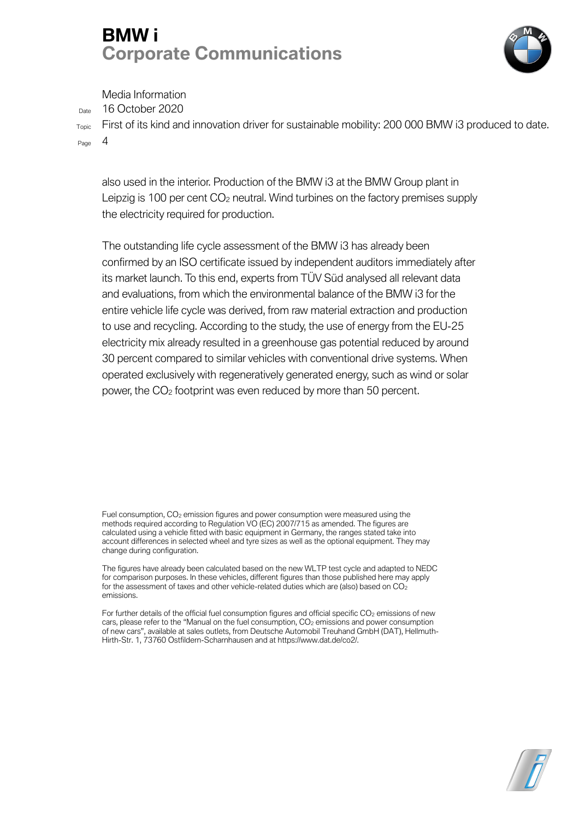

Media Information

Date 16 October 2020

Topic First of its kind and innovation driver for sustainable mobility: 200 000 BMW i3 produced to date.  $P_{\text{A}}$  4

also used in the interior. Production of the BMW i3 at the BMW Group plant in Leipzig is 100 per cent  $CO<sub>2</sub>$  neutral. Wind turbines on the factory premises supply the electricity required for production.

The outstanding life cycle assessment of the BMW i3 has already been confirmed by an ISO certificate issued by independent auditors immediately after its market launch. To this end, experts from TÜV Süd analysed all relevant data and evaluations, from which the environmental balance of the BMW i3 for the entire vehicle life cycle was derived, from raw material extraction and production to use and recycling. According to the study, the use of energy from the EU-25 electricity mix already resulted in a greenhouse gas potential reduced by around 30 percent compared to similar vehicles with conventional drive systems. When operated exclusively with regeneratively generated energy, such as wind or solar power, the CO2 footprint was even reduced by more than 50 percent.

Fuel consumption, CO<sub>2</sub> emission figures and power consumption were measured using the methods required according to Regulation VO (EC) 2007/715 as amended. The figures are calculated using a vehicle fitted with basic equipment in Germany, the ranges stated take into account differences in selected wheel and tyre sizes as well as the optional equipment. They may change during configuration.

The figures have already been calculated based on the new WLTP test cycle and adapted to NEDC for comparison purposes. In these vehicles, different figures than those published here may apply for the assessment of taxes and other vehicle-related duties which are (also) based on  $CO<sub>2</sub>$ emissions.

For further details of the official fuel consumption figures and official specific  $CO<sub>2</sub>$  emissions of new cars, please refer to the "Manual on the fuel consumption, CO<sub>2</sub> emissions and power consumption of new cars", available at sales outlets, from Deutsche Automobil Treuhand GmbH (DAT), Hellmuth-Hirth-Str. 1, 73760 Ostfildern-Scharnhausen and at https://www.dat.de/co2/.